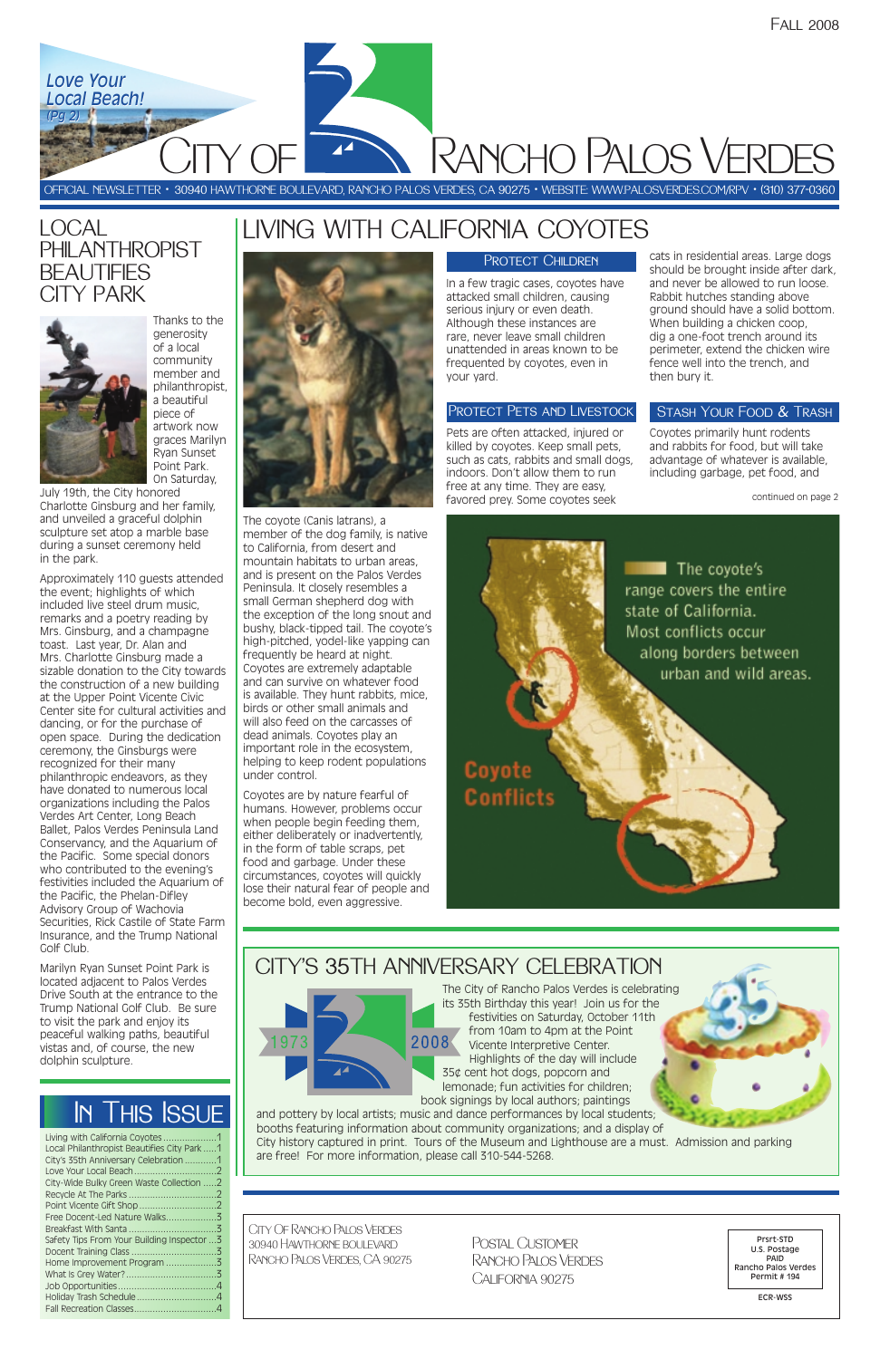The coyote (Canis latrans), a member of the dog family, is native to California, from desert and mountain habitats to urban areas, and is present on the Palos Verdes Peninsula. It closely resembles a small German shepherd dog with the exception of the long snout and bushy, black-tipped tail. The coyote's high-pitched, yodel-like yapping can frequently be heard at night. Coyotes are extremely adaptable and can survive on whatever food is available. They hunt rabbits, mice, birds or other small animals and will also feed on the carcasses of dead animals. Coyotes play an important role in the ecosystem, helping to keep rodent populations under control.

Coyotes are by nature fearful of humans. However, problems occur when people begin feeding them, either deliberately or inadvertently, in the form of table scraps, pet food and garbage. Under these circumstances, coyotes will quickly lose their natural fear of people and become bold, even aggressive.

### PROTECT CHILDREN

In a few tragic cases, coyotes have attacked small children, causing serious injury or even death. Although these instances are rare, never leave small children unattended in areas known to be frequented by coyotes, even in your yard.

### PROTECT PETS AND LIVESTOCK

Pets are often attacked, injured or killed by coyotes. Keep small pets, such as cats, rabbits and small dogs, indoors. Don't allow them to run free at any time. They are easy, favored prey. Some coyotes seek

| Living with California Coyotes1             |  |
|---------------------------------------------|--|
| Local Philanthropist Beautifies City Park 1 |  |
| City's 35th Anniversary Celebration 1       |  |
|                                             |  |
| City-Wide Bulky Green Waste Collection 2    |  |
|                                             |  |
|                                             |  |
|                                             |  |
|                                             |  |
| Safety Tips From Your Building Inspector  3 |  |
|                                             |  |
|                                             |  |
|                                             |  |
|                                             |  |
|                                             |  |
|                                             |  |
|                                             |  |

Postal Customer Rancho Palos Verdes CALIFORNIA 90275

cats in residential areas. Large dogs should be brought inside after dark, and never be allowed to run loose. Rabbit hutches standing above ground should have a solid bottom. When building a chicken coop, dig a one-foot trench around its perimeter, extend the chicken wire fence well into the trench, and then bury it.

## STASH YOUR FOOD & TRASH

CITY OF Rancho Palos Verdes *Love Your Love Your Local Beach! Local Beach! (Pg 2) (Pg 2)*

> Coyotes primarily hunt rodents and rabbits for food, but will take advantage of whatever is available, including garbage, pet food, and

OFFICIAL NEWSLETTER • 30940 HAWTHORNE BOULEVARD, RANCHO PALOS VERDES, CA 90275 • WEBSITE: WWW.PALOSVERDES.COM/RPV • (310) 377-0360

City Of Rancho Palos Verdes 30940 Hawthorne boulevard Rancho Palos Verdes, CA 90275

Prsrt-STD U.S. Postage PAID Rancho Palos Verdes Permit # 194

ECR-WSS

# In This Issue

# LOCAL **PHILANTHROPIST BEAUTIFIES** CITY PARK



# LIVING WITH CALIFORNIA COYOTES



The City of Rancho Palos Verdes is celebrating

its 35th Birthday this year! Join us for the festivities on Saturday, October 11th from 10am to 4pm at the Point 2008 Vicente Interpretive Center. Highlights of the day will include 35¢ cent hot dogs, popcorn and lemonade; fun activities for children; book signings by local authors; paintings

and pottery by local artists; music and dance performances by local students; booths featuring information about community organizations; and a display of City history captured in print. Tours of the Museum and Lighthouse are a must. Admission and parking are free! For more information, please call 310-544-5268.

continued on page 2

The coyote's range covers the entire state of California. Most conflicts occur along borders between urban and wild areas.

Coyote **Conflicts** 

Thanks to the generosity of a local community member and philanthropist, a beautiful piece of artwork now graces Marilyn Ryan Sunset Point Park. On Saturday,

July 19th, the City honored Charlotte Ginsburg and her family, and unveiled a graceful dolphin sculpture set atop a marble base during a sunset ceremony held in the park.

Approximately 110 guests attended the event; highlights of which included live steel drum music, remarks and a poetry reading by Mrs. Ginsburg, and a champagne toast. Last year, Dr. Alan and Mrs. Charlotte Ginsburg made a sizable donation to the City towards the construction of a new building at the Upper Point Vicente Civic Center site for cultural activities and dancing, or for the purchase of open space. During the dedication ceremony, the Ginsburgs were recognized for their many philanthropic endeavors, as they have donated to numerous local organizations including the Palos Verdes Art Center, Long Beach Ballet, Palos Verdes Peninsula Land Conservancy, and the Aquarium of the Pacific. Some special donors who contributed to the evening's festivities included the Aquarium of the Pacific, the Phelan-Difley Advisory Group of Wachovia Securities, Rick Castile of State Farm Insurance, and the Trump National Golf Club.

Marilyn Ryan Sunset Point Park is located adjacent to Palos Verdes Drive South at the entrance to the Trump National Golf Club. Be sure to visit the park and enjoy its peaceful walking paths, beautiful vistas and, of course, the new dolphin sculpture.

CITY'S 35TH ANNIVERSARY CELEBRATION

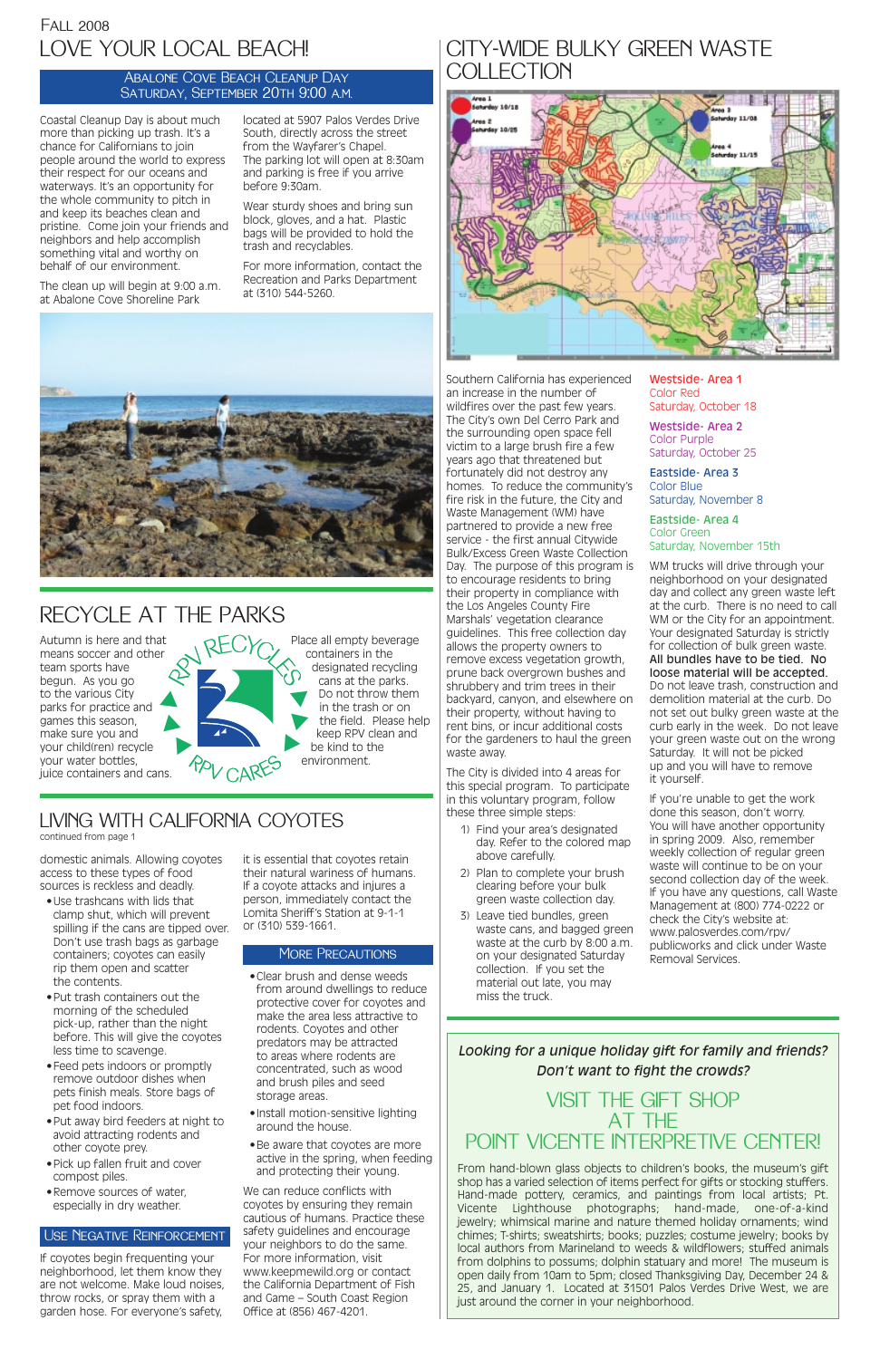Southern California has experienced an increase in the number of wildfires over the past few years. The City's own Del Cerro Park and the surrounding open space fell victim to a large brush fire a few years ago that threatened but fortunately did not destroy any homes. To reduce the community's fire risk in the future, the City and Waste Management (WM) have partnered to provide a new free service - the first annual Citywide Bulk/Excess Green Waste Collection Day. The purpose of this program is to encourage residents to bring their property in compliance with the Los Angeles County Fire Marshals' vegetation clearance guidelines. This free collection day allows the property owners to remove excess vegetation growth, prune back overgrown bushes and shrubbery and trim trees in their backyard, canyon, and elsewhere on their property, without having to rent bins, or incur additional costs for the gardeners to haul the green waste away.

The City is divided into 4 areas for this special program. To participate in this voluntary program, follow these three simple steps:

- 1) Find your area's designated day. Refer to the colored map above carefully.
- 2) Plan to complete your brush clearing before your bulk green waste collection day.
- 3) Leave tied bundles, green waste cans, and bagged green waste at the curb by 8:00 a.m. on your designated Saturday collection. If you set the material out late, you may miss the truck.

Westside- Area 1 Color Red Saturday, October 18

Westside- Area 2 Color Purple Saturday, October 25

Eastside- Area 3 Color Blue Saturday, November 8

Eastside- Area 4 Color Green Saturday, November 15th

WM trucks will drive through your neighborhood on your designated day and collect any green waste left at the curb. There is no need to call WM or the City for an appointment. Your designated Saturday is strictly for collection of bulk green waste. All bundles have to be tied. No loose material will be accepted. Do not leave trash, construction and demolition material at the curb. Do not set out bulky green waste at the curb early in the week. Do not leave your green waste out on the wrong Saturday. It will not be picked up and you will have to remove it yourself.

If you're unable to get the work done this season, don't worry. You will have another opportunity in spring 2009. Also, remember weekly collection of regular green waste will continue to be on your second collection day of the week. If you have any questions, call Waste Management at (800) 774-0222 or check the City's website at: www.palosverdes.com/rpv/ publicworks and click under Waste Removal Services.

# LIVING WITH CALIFORNIA COYOTES

continued from page 1

domestic animals. Allowing coyotes access to these types of food sources is reckless and deadly.

# CITY-WIDE BULKY GREEN WASTE **COLLECTION**



Autumn is here and that means soccer and other team sports have begun. As you go to the various City parks for practice and games this season, make sure you and your child(ren) recycle your water bottles, juice containers and cans. RECYCLES ❿❿ $\blacktriangle$ 

- •Use trashcans with lids that clamp shut, which will prevent spilling if the cans are tipped over. Don't use trash bags as garbage containers; coyotes can easily rip them open and scatter the contents.
- •Put trash containers out the morning of the scheduled pick-up, rather than the night before. This will give the coyotes less time to scavenge. •Feed pets indoors or promptly remove outdoor dishes when pets finish meals. Store bags of pet food indoors. •Put away bird feeders at night to avoid attracting rodents and other coyote prey.

## VISIT THE GIFT SHOP AT THE POINT VICENTE INTERPRETIVE CENTER!

- •Pick up fallen fruit and cover compost piles.
- •Remove sources of water, especially in dry weather.

If coyotes begin frequenting your neighborhood, let them know they are not welcome. Make loud noises, throw rocks, or spray them with a garden hose. For everyone's safety,

# Fall 2008 LOVE YOUR LOCAL BEACH!

it is essential that coyotes retain their natural wariness of humans. If a coyote attacks and injures a person, immediately contact the Lomita Sheriff's Station at 9-1-1 or (310) 539-1661.

### MORE PRECAUTIONS

•Clear brush and dense weeds from around dwellings to reduce

protective cover for coyotes and make the area less attractive to rodents. Coyotes and other predators may be attracted to areas where rodents are concentrated, such as wood and brush piles and seed storage areas.

- •Install motion-sensitive lighting around the house.
- •Be aware that coyotes are more active in the spring, when feeding and protecting their young.

We can reduce conflicts with coyotes by ensuring they remain cautious of humans. Practice these safety guidelines and encourage your neighbors to do the same. For more information, visit www.keepmewild.org or contact the California Department of Fish and Game – South Coast Region Office at (856) 467-4201.

### Use Negative Reinforcement

### Abalone Cove Beach Cleanup Day Saturday, September 20th 9:00 a.m.

Coastal Cleanup Day is about much more than picking up trash. It's a chance for Californians to join people around the world to express their respect for our oceans and waterways. It's an opportunity for the whole community to pitch in and keep its beaches clean and pristine. Come join your friends and neighbors and help accomplish something vital and worthy on behalf of our environment.

The clean up will begin at 9:00 a.m. at Abalone Cove Shoreline Park

located at 5907 Palos Verdes Drive South, directly across the street from the Wayfarer's Chapel. The parking lot will open at 8:30am and parking is free if you arrive before 9:30am.

Wear sturdy shoes and bring sun block, gloves, and a hat. Plastic bags will be provided to hold the trash and recyclables.

For more information, contact the Recreation and Parks Department at (310) 544-5260.



# RECYCLE AT THE PARKS

## *Looking for a unique holiday gift for family and friends?*

### *Don't want to fight the crowds?*

Place all empty beverage containers in the designated recycling cans at the parks. Do not throw them in the trash or on the field. Please help keep RPV clean and be kind to the environment. ❿ ❿ ❿

> From hand-blown glass objects to children's books, the museum's gift shop has a varied selection of items perfect for gifts or stocking stuffers. Hand-made pottery, ceramics, and paintings from local artists; Pt. Vicente Lighthouse photographs; hand-made, one-of-a-kind jewelry; whimsical marine and nature themed holiday ornaments; wind chimes; T-shirts; sweatshirts; books; puzzles; costume jewelry; books by local authors from Marineland to weeds & wildflowers; stuffed animals from dolphins to possums; dolphin statuary and more! The museum is open daily from 10am to 5pm; closed Thanksgiving Day, December 24 & 25, and January 1. Located at 31501 Palos Verdes Drive West, we are just around the corner in your neighborhood.

<sup>r</sup>p<sup>v</sup> <sup>c</sup>are<sup>s</sup>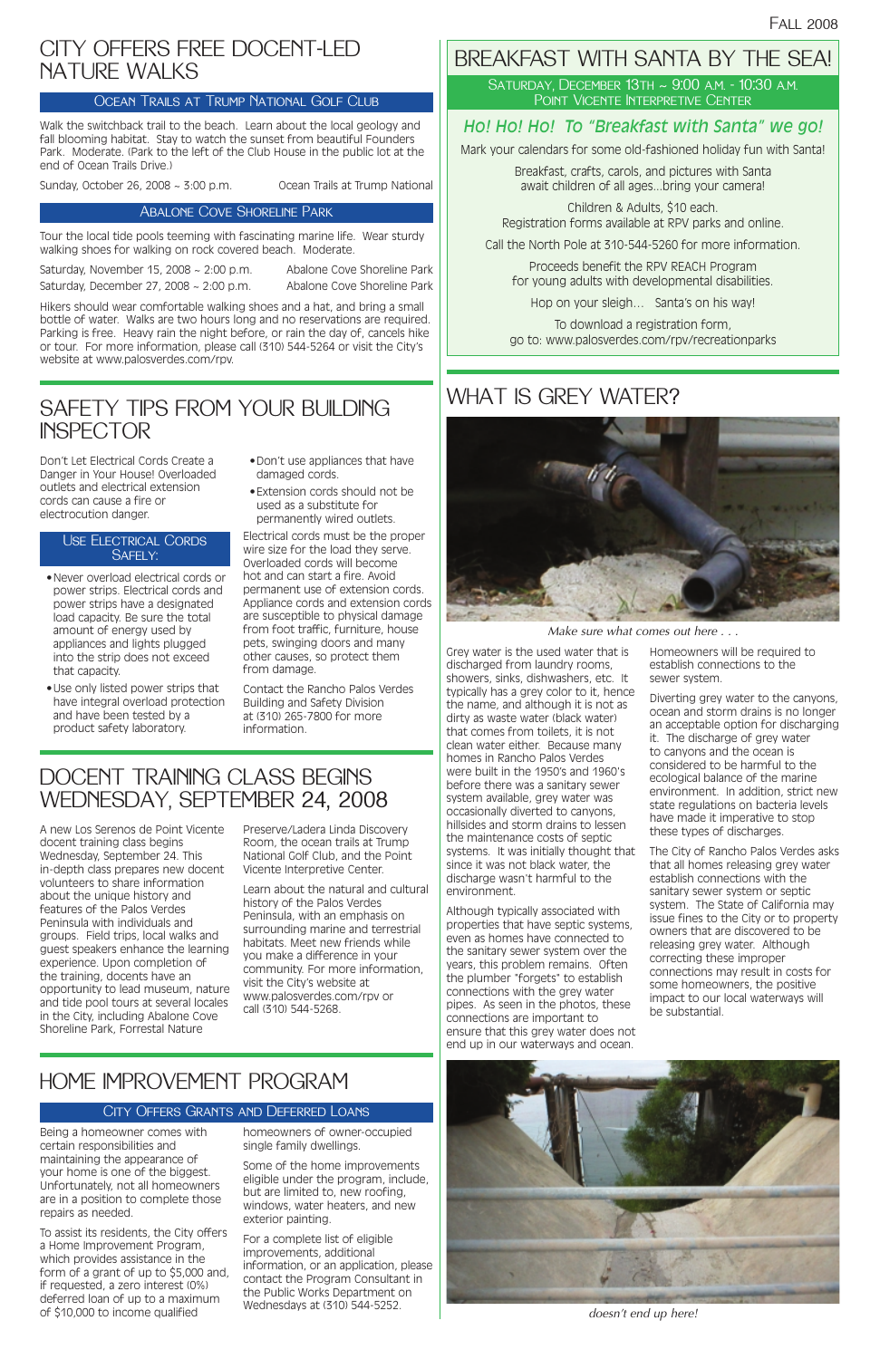# BREAKFAST WITH SANTA BY THE SEA!

Saturday, December 13th ~ 9:00 a.m. - 10:30 a.m. Point Vicente Interpretive Center

## *Ho! Ho! Ho! To "Breakfast with Santa" we go!*

Mark your calendars for some old-fashioned holiday fun with Santa!

Breakfast, crafts, carols, and pictures with Santa await children of all ages...bring your camera!

Children & Adults, \$10 each. Registration forms available at RPV parks and online.

Call the North Pole at 310-544-5260 for more information.

Proceeds benefit the RPV REACH Program for young adults with developmental disabilities.

Hop on your sleigh… Santa's on his way!

To download a registration form, go to: www.palosverdes.com/rpv/recreationparks

# WHAT IS GREY WATER?

# DOCENT TRAINING CLASS BEGINS WEDNESDAY, SEPTEMBER 24, 2008

# SAFETY TIPS FROM YOUR BUILDING**INSPECTOR**

A new Los Serenos de Point Vicente docent training class begins Wednesday, September 24. This in-depth class prepares new docent volunteers to share information about the unique history and features of the Palos Verdes Peninsula with individuals and groups. Field trips, local walks and guest speakers enhance the learning experience. Upon completion of the training, docents have an opportunity to lead museum, nature and tide pool tours at several locales in the City, including Abalone Cove Shoreline Park, Forrestal Nature

Preserve/Ladera Linda Discovery Room, the ocean trails at Trump National Golf Club, and the Point Vicente Interpretive Center.

Learn about the natural and cultural history of the Palos Verdes Peninsula, with an emphasis on surrounding marine and terrestrial habitats. Meet new friends while you make a difference in your community. For more information, visit the City's website at www.palosverdes.com/rpv or call (310) 544-5268.

Don't Let Electrical Cords Create a Danger in Your House! Overloaded outlets and electrical extension cords can cause a fire or electrocution danger.

- •Never overload electrical cords or power strips. Electrical cords and power strips have a designated load capacity. Be sure the total amount of energy used by appliances and lights plugged into the strip does not exceed that capacity.
- •Use only listed power strips that have integral overload protection and have been tested by a product safety laboratory.

- •Don't use appliances that have damaged cords.
- •Extension cords should not be used as a substitute for permanently wired outlets.

Electrical cords must be the proper wire size for the load they serve. Overloaded cords will become hot and can start a fire. Avoid permanent use of extension cords. Appliance cords and extension cords are susceptible to physical damage from foot traffic, furniture, house pets, swinging doors and many other causes, so protect them from damage.

Contact the Rancho Palos Verdes Building and Safety Division at (310) 265-7800 for more information.

### Use Electrical Cords Safely:

Grey water is the used water that is discharged from laundry rooms, showers, sinks, dishwashers, etc. It typically has a grey color to it, hence the name, and although it is not as dirty as waste water (black water) that comes from toilets, it is not clean water either. Because many homes in Rancho Palos Verdes were built in the 1950's and 1960's before there was a sanitary sewer system available, grey water was occasionally diverted to canyons, hillsides and storm drains to lessen the maintenance costs of septic systems. It was initially thought that since it was not black water, the discharge wasn't harmful to the environment.

Although typically associated with properties that have septic systems, even as homes have connected to the sanitary sewer system over the years, this problem remains. Often the plumber "forgets" to establish connections with the grey water pipes. As seen in the photos, these connections are important to ensure that this grey water does not end up in our waterways and ocean.

Homeowners will be required to establish connections to the sewer system.

Diverting grey water to the canyons, ocean and storm drains is no longer an acceptable option for discharging it. The discharge of grey water to canyons and the ocean is considered to be harmful to the ecological balance of the marine environment. In addition, strict new state regulations on bacteria levels have made it imperative to stop these types of discharges.

The City of Rancho Palos Verdes asks that all homes releasing grey water establish connections with the sanitary sewer system or septic system. The State of California may issue fines to the City or to property owners that are discovered to be releasing grey water. Although correcting these improper connections may result in costs for some homeowners, the positive impact to our local waterways will be substantial.

# HOME IMPROVEMENT PROGRAM

### City Offers Grants and Deferred Loans

Being a homeowner comes with certain responsibilities and maintaining the appearance of your home is one of the biggest. Unfortunately, not all homeowners are in a position to complete those repairs as needed.

To assist its residents, the City offers a Home Improvement Program, which provides assistance in the form of a grant of up to \$5,000 and, if requested, a zero interest (0%) deferred loan of up to a maximum of \$10,000 to income qualified

homeowners of owner-occupied single family dwellings.

Some of the home improvements eligible under the program, include, but are limited to, new roofing, windows, water heaters, and new exterior painting.

For a complete list of eligible improvements, additional information, or an application, please contact the Program Consultant in the Public Works Department on Wednesdays at (310) 544-5252.

# CITY OFFERS FREE DOCENT-LED NATURE WALKS

### Ocean Trails at Trump National Golf Club

Walk the switchback trail to the beach. Learn about the local geology and fall blooming habitat. Stay to watch the sunset from beautiful Founders Park. Moderate. (Park to the left of the Club House in the public lot at the end of Ocean Trails Drive.)

Sunday, October 26, 2008 ~ 3:00 p.m. Ocean Trails at Trump National

### Abalone Cove Shoreline Park

Tour the local tide pools teeming with fascinating marine life. Wear sturdy walking shoes for walking on rock covered beach. Moderate.

Saturday, November 15, 2008 ~ 2:00 p.m. Abalone Cove Shoreline Park Saturday, December 27, 2008 ~ 2:00 p.m. Abalone Cove Shoreline Park

Hikers should wear comfortable walking shoes and a hat, and bring a small bottle of water. Walks are two hours long and no reservations are required. Parking is free. Heavy rain the night before, or rain the day of, cancels hike or tour. For more information, please call (310) 544-5264 or visit the City's website at www.palosverdes.com/rpv.



*Make sure what comes out here . . .*



*doesn't end up here!*